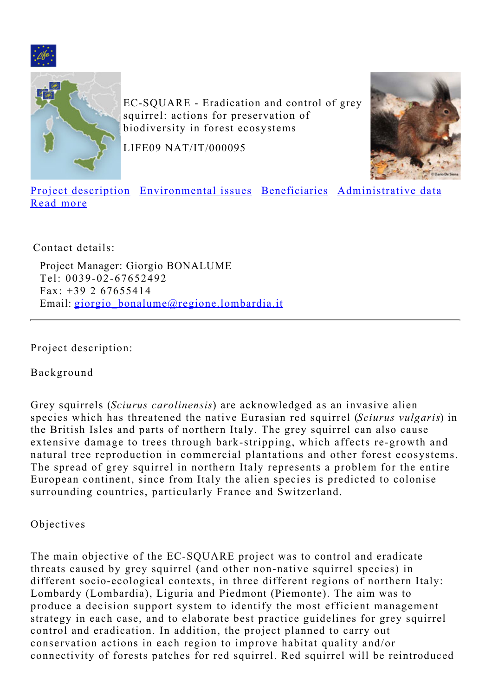<span id="page-0-1"></span>



EC-SQUARE - Eradication and control of grey squirrel: actions for preservation of biodiversity in forest ecosystems

LIFE09 NAT/IT/000095



[Project description](#page-0-0) [Environmental issues](#page-2-0) [Beneficiaries](#page-3-0) [Administrative data](#page-3-1) [Read more](#page-3-2)

Contact details:

Project Manager: Giorgio BONALUME Tel: 0039-02-67652492 Fax: +39 2 67655414 Email: [giorgio\\_bonalume@regione.lombardia.it](mailto:giorgio_bonalume@regione.lombardia.it)

<span id="page-0-0"></span>Project description:

Background

Grey squirrels (*Sciurus carolinensis*) are acknowledged as an invasive alien species which has threatened the native Eurasian red squirrel (*Sciurus vulgaris*) in the British Isles and parts of northern Italy. The grey squirrel can also cause extensive damage to trees through bark-stripping, which affects re-growth and natural tree reproduction in commercial plantations and other forest ecosystems. The spread of grey squirrel in northern Italy represents a problem for the entire European continent, since from Italy the alien species is predicted to colonise surrounding countries, particularly France and Switzerland.

Objectives

The main objective of the EC-SQUARE project was to control and eradicate threats caused by grey squirrel (and other non-native squirrel species) in different socio-ecological contexts, in three different regions of northern Italy: Lombardy (Lombardia), Liguria and Piedmont (Piemonte). The aim was to produce a decision support system to identify the most efficient management strategy in each case, and to elaborate best practice guidelines for grey squirrel control and eradication. In addition, the project planned to carry out conservation actions in each region to improve habitat quality and/or connectivity of forests patches for red squirrel. Red squirrel will be reintroduced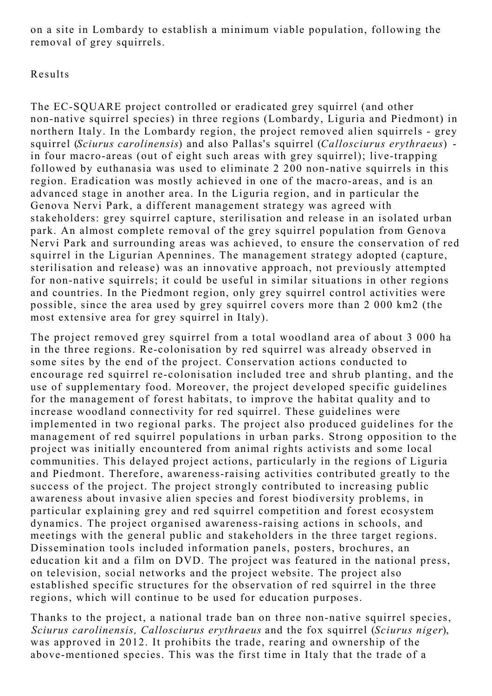on a site in Lombardy to establish a minimum viable population, following the removal of grey squirrels.

#### Results

The EC-SQUARE project controlled or eradicated grey squirrel (and other non-native squirrel species) in three regions (Lombardy, Liguria and Piedmont) in northern Italy. In the Lombardy region, the project removed alien squirrels - grey squirrel (*Sciurus carolinensis*) and also Pallas's squirrel (*Callosciurus erythraeus*) in four macro-areas (out of eight such areas with grey squirrel); live-trapping followed by euthanasia was used to eliminate 2 200 non-native squirrels in this region. Eradication was mostly achieved in one of the macro-areas, and is an advanced stage in another area. In the Liguria region, and in particular the Genova Nervi Park, a different management strategy was agreed with stakeholders: grey squirrel capture, sterilisation and release in an isolated urban park. An almost complete removal of the grey squirrel population from Genova Nervi Park and surrounding areas was achieved, to ensure the conservation of red squirrel in the Ligurian Apennines. The management strategy adopted (capture, sterilisation and release) was an innovative approach, not previously attempted for non-native squirrels; it could be useful in similar situations in other regions and countries. In the Piedmont region, only grey squirrel control activities were possible, since the area used by grey squirrel covers more than 2 000 km2 (the most extensive area for grey squirrel in Italy).

The project removed grey squirrel from a total woodland area of about 3 000 ha in the three regions. Re-colonisation by red squirrel was already observed in some sites by the end of the project. Conservation actions conducted to encourage red squirrel re-colonisation included tree and shrub planting, and the use of supplementary food. Moreover, the project developed specific guidelines for the management of forest habitats, to improve the habitat quality and to increase woodland connectivity for red squirrel. These guidelines were implemented in two regional parks. The project also produced guidelines for the management of red squirrel populations in urban parks. Strong opposition to the project was initially encountered from animal rights activists and some local communities. This delayed project actions, particularly in the regions of Liguria and Piedmont. Therefore, awareness-raising activities contributed greatly to the success of the project. The project strongly contributed to increasing public awareness about invasive alien species and forest biodiversity problems, in particular explaining grey and red squirrel competition and forest ecosystem dynamics. The project organised awareness-raising actions in schools, and meetings with the general public and stakeholders in the three target regions. Dissemination tools included information panels, posters, brochures, an education kit and a film on DVD. The project was featured in the national press, on television, social networks and the project website. The project also established specific structures for the observation of red squirrel in the three regions, which will continue to be used for education purposes.

Thanks to the project, a national trade ban on three non-native squirrel species, *Sciurus carolinensis, Callosciurus erythraeus* and the fox squirrel (*Sciurus niger*), was approved in 2012. It prohibits the trade, rearing and ownership of the above-mentioned species. This was the first time in Italy that the trade of a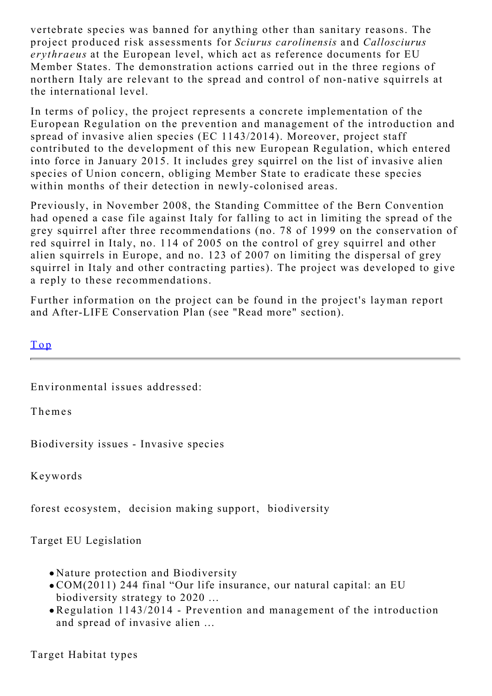vertebrate species was banned for anything other than sanitary reasons. The project produced risk assessments for *Sciurus carolinensis* and *Callosciurus erythraeus* at the European level, which act as reference documents for EU Member States. The demonstration actions carried out in the three regions of northern Italy are relevant to the spread and control of non-native squirrels at the international level.

In terms of policy, the project represents a concrete implementation of the European Regulation on the prevention and management of the introduction and spread of invasive alien species (EC 1143/2014). Moreover, project staff contributed to the development of this new European Regulation, which entered into force in January 2015. It includes grey squirrel on the list of invasive alien species of Union concern, obliging Member State to eradicate these species within months of their detection in newly-colonised areas.

Previously, in November 2008, the Standing Committee of the Bern Convention had opened a case file against Italy for falling to act in limiting the spread of the grey squirrel after three recommendations (no. 78 of 1999 on the conservation of red squirrel in Italy, no. 114 of 2005 on the control of grey squirrel and other alien squirrels in Europe, and no. 123 of 2007 on limiting the dispersal of grey squirrel in Italy and other contracting parties). The project was developed to give a reply to these recommendations.

Further information on the project can be found in the project's layman report and After-LIFE Conservation Plan (see "Read more" section).

[Top](#page-0-1)

<span id="page-2-0"></span>Environmental issues addressed:

Themes

Biodiversity issues - Invasive species

Keywords

forest ecosystem, decision making support, biodiversity

Target EU Legislation

- Nature protection and Biodiversity
- COM(2011) 244 final "Our life insurance, our natural capital: an EU biodiversity strategy to 2020 ...
- Regulation 1143/2014 Prevention and management of the introduction and spread of invasive alien ...

Target Habitat types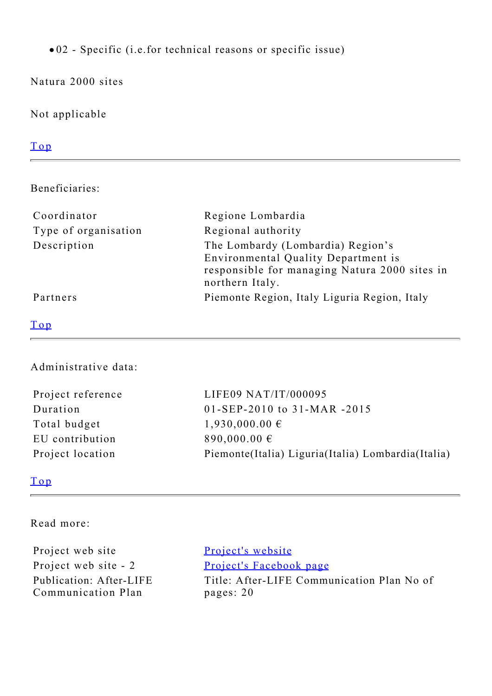02 - Specific (i.e.for technical reasons or specific issue)

Natura 2000 sites

Not applicable

# [Top](#page-0-1)

<span id="page-3-0"></span>Beneficiaries:

| Coordinator          | Regione Lombardia                                                                                                                            |
|----------------------|----------------------------------------------------------------------------------------------------------------------------------------------|
| Type of organisation | Regional authority                                                                                                                           |
| Description          | The Lombardy (Lombardia) Region's<br>Environmental Quality Department is<br>responsible for managing Natura 2000 sites in<br>northern Italy. |
| Partners             | Piemonte Region, Italy Liguria Region, Italy                                                                                                 |

### [Top](#page-0-1)

# <span id="page-3-1"></span>Administrative data:

| Project reference | LIFE09 NAT/IT/000095                                  |
|-------------------|-------------------------------------------------------|
| Duration          | 01-SEP-2010 to 31-MAR-2015                            |
| Total budget      | $1,930,000.00 \in$                                    |
| EU contribution   | 890,000.00 $\epsilon$                                 |
| Project location  | Piemonte (Italia) Liguria (Italia) Lombardia (Italia) |

# [Top](#page-0-1)

## <span id="page-3-2"></span>Read more:

| Project web site                              | Project's website                                       |
|-----------------------------------------------|---------------------------------------------------------|
| Project web site - 2                          | Project's Facebook page                                 |
| Publication: After-LIFE<br>Communication Plan | Title: After-LIFE Communication Plan No of<br>pages: 20 |